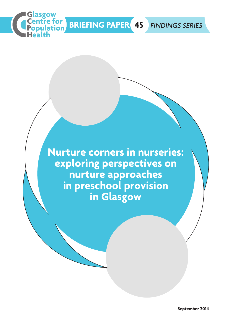

**Slasgow<br>Centre for<br>Population** 

**The for**<br> **ulation** 

**Nurture corners in nurseries: exploring perspectives on nurture approaches in preschool provision in Glasgow**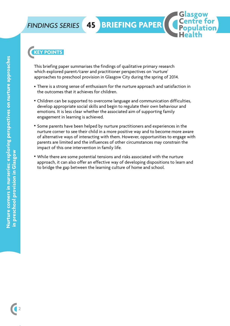### *FINDINGS SERIES* **BRIEFING PAPER 45**

### **KEY POINTS**

This briefing paper summarises the findings of qualitative primary research which explored parent/carer and practitioner perspectives on 'nurture' approaches to preschool provision in Glasgow City during the spring of 2014.

• There is a strong sense of enthusiasm for the nurture approach and satisfaction in the outcomes that it achieves for children.

**Slasgow<br>| Centre for<br>| Population** 

lation

- Children can be supported to overcome language and communication difficulties, develop appropriate social skills and begin to regulate their own behaviour and emotions. It is less clear whether the associated aim of supporting family engagement in learning is achieved.
- Some parents have been helped by nurture practitioners and experiences in the nurture corner to see their child in a more positive way and to become more aware of alternative ways of interacting with them. However, opportunities to engage with parents are limited and the influences of other circumstances may constrain the impact of this one intervention in family life.
- While there are some potential tensions and risks associated with the nurture approach, it can also offer an effective way of developing dispositions to learn and to bridge the gap between the learning culture of home and school.

**s**

**N**

**in**

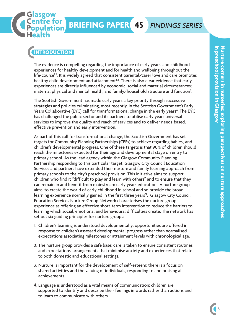## **BRIEFING PAPER 45** *FINDINGS SERIES*

### **INTRODUCTION**

**lation** 

asgow **Centre for** 

> The evidence is compelling regarding the importance of early years' and childhood experiences for healthy development and for health and wellbeing throughout the life-course<sup>1,2</sup>. It is widely agreed that consistent parental/carer love and care promotes healthy child development and attachment<sup>3,4</sup>. There is also clear evidence that early experiences are directly influenced by economic, social and material circumstances; maternal physical and mental health; and family/household structure and function<sup>5</sup>. .<br>.

The Scottish Government has made early years a key priority through successive strategies and policies culminating, most recently, in the Scottish Government's Early Years Collaborative (EYC) call for transformational change in the early years<sup>6</sup>. The EYC has challenged the public sector and its partners to utilise early years universal services to improve the quality and reach of services and to deliver needs-based, effective prevention and early intervention.

As part of this call for transformational change, the Scottish Government has set targets for Community Planning Partnerships (CPPs) to achieve regarding babies', and children's developmental progress. One of these targets is that 90% of children should reach the milestones expected for their age and developmental stage on entry to primary school. As the lead agency within the Glasgow Community Planning Partnership responding to this particular target, Glasgow City Council Education Services and partners have extended their nurture and family learning approach from primary schools to the city's preschool provision. This initiative aims to support children who find it "difficult to play and learn with others" and to ensure that they can remain in and benefit from mainstream early years education. A nurture group aims 'to create the world of early childhood in school and so provide the broad learning experience normally gained in the first three years' 7 . Glasgow City Council Education Services Nurture Group Network characterises the nurture group experience as offering an effective short-term intervention to reduce the barriers to learning which social, emotional and behavioural difficulties create. The network has set out six guiding principles for nurture groups:

- 1. Children's learning is understood developmentally: opportunities are offered in response to children's assessed developmental progress rather than normalised expectations associating milestones or attainment levels with chronological age.
- 2. The nurture group provides a safe base: care is taken to ensure consistent routines and expectations, arrangements that minimise anxiety and experiences that relate to both domestic and educational settings.
- 3. Nurture is important for the development of self-esteem: there is a focus on shared activities and the valuing of individuals, responding to and praising all achievements.
- 4. Language is understood as a vital means of communication: children are supported to identify and describe their feelings in words rather than actions and to learn to communicate with others.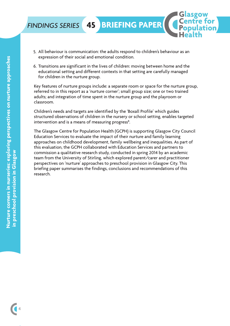

5. All behaviour is communication: the adults respond to children's behaviour as an expression of their social and emotional condition.

**Glasgow** 

**Centre for**<br>**Population** 

lation

6. Transitions are significant in the lives of children: moving between home and the educational setting and different contexts in that setting are carefully managed for children in the nurture group.

Key features of nurture groups include: a separate room or space for the nurture group, referred to in this report as a 'nurture corner'; small group size; one or two trained adults; and integration of time spent in the nurture group and the playroom or classroom.

Children's needs and targets are identified by the 'Boxall Profile' which guides structured observations of children in the nursery or school setting, enables targeted intervention and is a means of measuring progress<sup>8</sup>. .<br>.

The Glasgow Centre for Population Health (GCPH) is supporting Glasgow City Council Education Services to evaluate the impact of their nurture and family learning approaches on childhood development, family wellbeing and inequalities. As part of this evaluation, the GCPH collaborated with Education Services and partners to commission a qualitative research study, conducted in spring 2014 by an academic team from the University of Stirling, which explored parent/carer and practitioner perspectives on 'nurture' approaches to preschool provision in Glasgow City. This briefing paper summarises the findings, conclusions and recommendations of this research.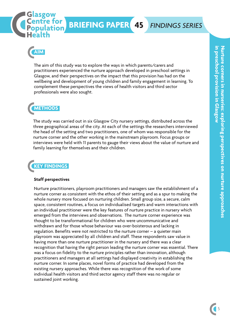

# **BRIEFING PAPER** *FINDINGS SERIES* **45**

**AIM**

The aim of this study was to explore the ways in which parents/carers and practitioners experienced the nurture approach developed in preschool settings in Glasgow, and their perspectives on the impact that this provision has had on the wellbeing and development of young children and family engagement in learning. To complement these perspectives the views of health visitors and third sector professionals were also sought.

# **METHODS**

The study was carried out in six Glasgow City nursery settings, distributed across the three geographical areas of the city. At each of the settings the researchers interviewed the head of the setting and two practitioners, one of whom was responsible for the nurture corner and the other working in the mainstream playroom. Focus groups or interviews were held with 11 parents to gauge their views about the value of nurture and family learning for themselves and their children.



### **Staff perspectives**

Nurture practitioners, playroom practitioners and managers saw the establishment of a nurture corner as consistent with the ethos of their setting and as a spur to making the whole nursery more focused on nurturing children. Small group size, a secure, calm space, consistent routines, a focus on individualised targets and warm interactions with an individual practitioner were the key features of nurture practice in nursery which emerged from the interviews and observations. The nurture corner experience was thought to be transformational for children who were uncommunicative and withdrawn and for those whose behaviour was over-boisterous and lacking in regulation. Benefits were not restricted to the nurture corner – a quieter main playroom was appreciated by all children and staff. These respondents saw value in having more than one nurture practitioner in the nursery and there was a clear recognition that having the right person leading the nurture corner was essential. There was a focus on fidelity to the nurture principles rather than innovation, although practitioners and managers at all settings had displayed creativity in establishing the nurture corner. In some places, novel forms of practice had developed from the existing nursery approaches. While there was recognition of the work of some individual health visitors and third sector agency staff there was no regular or sustained joint working.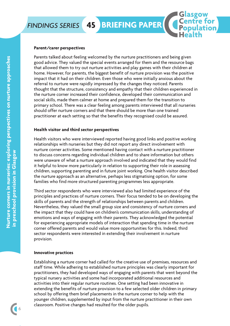#### **Parent/carer perspectives**

Parents talked about feeling welcomed by the nurture practitioners and being given good advice. They valued the special events arranged for them and the resource bags that allowed them to try out nurture activities and play games with their children at home. However, for parents, the biggest benefit of nurture provision was the positive impact that it had on their children. Even those who were initially anxious about the referral to nurture were rapidly impressed by the changes they noticed. Parents thought that the structure, consistency and empathy that their children experienced in the nurture corner increased their confidence, developed their communication and social skills, made them calmer at home and prepared them for the transition to primary school. There was a clear feeling among parents interviewed that all nurseries should offer nurture corners and that there should be more than one trained practitioner at each setting so that the benefits they recognised could be assured.

asgow

Giasgow<br>Centre for<br>Population

lation

### **Health visitor and third sector perspectives**

Health visitors who were interviewed reported having good links and positive working relationships with nurseries but they did not report any direct involvement with nurture corner activities. Some mentioned having contact with a nurture practitioner to discuss concerns regarding individual children and to share information but others were unaware of what a nurture approach involved and indicated that they would find it helpful to know more particularly in relation to supporting their role in assessing children, supporting parenting and in future joint working. One health visitor described the nurture approach as an alternative, perhaps less stigmatising option, for some families who find more structured parenting programmes less appropriate.

Third sector respondents who were interviewed also had limited experience of the principles and practices of nurture corners. Their focus tended to be on developing the skills of parents and the strength of relationships between parents and children. Nevertheless, they valued the small group size and consistency of nurture corners and the impact that they could have on children's communication skills, understanding of emotions and ways of engaging with their parents. They acknowledged the potential for experiencing appropriate models of interaction that spending time in the nurture corner offered parents and would value more opportunities for this. Indeed, third sector respondents were interested in extending their involvement in nurture provision.

### **Innovative practices**

Establishing a nurture corner had called for the creative use of premises, resources and staff time. While adhering to established nurture principles was clearly important for practitioners, they had developed ways of engaging with parents that went beyond the typical nursery activities and some had incorporated additional resources and activities into their regular nurture routines. One setting had been innovative in extending the benefits of nurture provision to a few selected older children in primary school by offering them brief placements in the nurture corner to help with the younger children, supplemented by input from the nurture practitioner in their own classroom. Positive changes had resulted for the older pupils.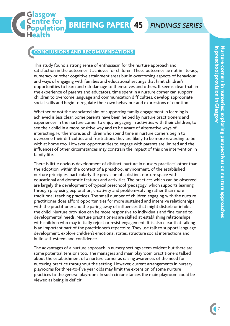# **BRIEFING PAPER 45** *FINDINGS SERIES*

# **CONCLUSIONS AND RECOMMENDATIONS**

asgow **Centre for** 

lation.

This study found a strong sense of enthusiasm for the nurture approach and satisfaction in the outcomes it achieves for children. These outcomes lie not in literacy, numeracy or other cognitive attainment areas but in overcoming aspects of behaviour and ways of engaging with families and educational settings that limit children's opportunities to learn and risk damage to themselves and others. It seems clear that, in the experience of parents and educators, time spent in a nurture corner can support children to overcome language and communication difficulties, develop appropriate social skills and begin to regulate their own behaviour and expressions of emotion.

Whether or not the associated aim of supporting family engagement in learning is achieved is less clear. Some parents have been helped by nurture practitioners and experiences in the nurture corner to enjoy engaging in activities with their children, to see their child in a more positive way and to be aware of alternative ways of interacting. Furthermore, as children who spend time in nurture corners begin to overcome their difficulties and frustrations they are likely to be more rewarding to be with at home too. However, opportunities to engage with parents are limited and the influences of other circumstances may constrain the impact of this one intervention in family life.

There is little obvious development of distinct 'nurture in nursery practices' other than the adoption, within the context of a preschool environment, of the established nurture principles, particularly the provision of a distinct nurture space with educational and domestic features and activities. The practices which can be observed are largely the development of typical preschool 'pedagogy' which supports learning through play using exploration, creativity and problem-solving rather than more traditional teaching practices. The small number of children engaging with the nurture practitioner does afford opportunities for more sustained and intensive relationships with the practitioner and the paring away of influences that might disturb or inhibit the child. Nurture provision can be more responsive to individuals and fine-tuned to developmental needs. Nurture practitioners are skilled at establishing relationships with children who may initially reject or resist engagement. It is also clear that talking is an important part of the practitioner's repertoire. They use talk to support language development, explore children's emotional states, structure social interactions and build self-esteem and confidence.

The advantages of a nurture approach in nursery settings seem evident but there are some potential tensions too. The managers and main playroom practitioners talked about the establishment of a nurture corner as raising awareness of the need for nurturing practice throughout the setting. However, current arrangements in nursery playrooms for three-to-five year olds may limit the extension of some nurture practices to the general playroom. In such circumstances the main playroom could be viewed as being in deficit.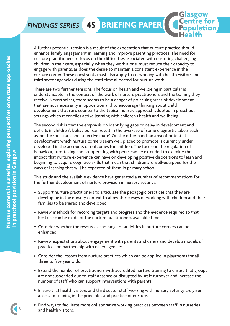A further potential tension is a result of the expectation that nurture practice should enhance family engagement in learning and improve parenting practices. The need for nurture practitioners to focus on the difficulties associated with nurturing challenging children in their care, especially when they work alone, must reduce their capacity to engage with parents, as does the desire to maintain a consistent experience in the nurture corner. These constraints must also apply to co-working with health visitors and third sector agencies during the staff time allocated for nurture work.

asgow

**Centre for<br>| Centre for<br>| Population** 

lation

There are two further tensions. The focus on health and wellbeing in particular is understandable in the context of the work of nurture practitioners and the training they receive. Nevertheless, there seems to be a danger of polarising areas of development that are not necessarily in opposition and to encourage thinking about child development that runs counter to the typical holistic approach adopted in preschool settings which reconciles active learning with children's health and wellbeing.

The second risk is that the emphasis on identifying gaps or delay in development and deficits in children's behaviour can result in the over-use of some diagnostic labels such as 'on the spectrum' and 'selective mute'. On the other hand, an area of potential development which nurture corners seem well placed to promote is currently underdeveloped in the accounts of outcomes for children. The focus on the regulation of behaviour, turn-taking and co-operating with peers can be extended to examine the impact that nurture experience can have on developing positive dispositions to learn and beginning to acquire cognitive skills that mean that children are well-equipped for the ways of learning that will be expected of them in primary school.

This study and the available evidence have generated a number of recommendations for the further development of nurture provision in nursery settings.

- Support nurture practitioners to articulate the pedagogic practices that they are developing in the nursery context to allow these ways of working with children and their families to be shared and developed.
- Review methods for recording targets and progress and the evidence required so that best use can be made of the nurture practitioner's available time.
- Consider whether the resources and range of activities in nurture corners can be •enhanced.
- Review expectations about engagement with parents and carers and develop models of practice and partnership with other agencies.
- Consider the lessons from nurture practices which can be applied in playrooms for all three to five year olds.
- Extend the number of practitioners with accredited nurture training to ensure that groups are not suspended due to staff absence or disrupted by staff turnover and increase the number of staff who can support interventions with parents.
- Ensure that health visitors and third sector staff working with nursery settings are given access to training in the principles and practice of nurture.
- Find ways to facilitate more collaborative working practices between staff in nurseries and health visitors.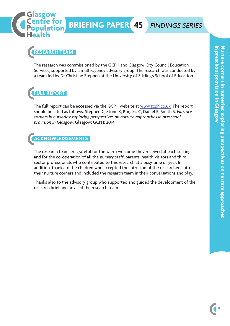

# **BRIEFING PAPER 45** *FINDINGS SERIES*

**RESEARCH TEAM**

lation.

lasgow **Centre for** 

> The research was commissioned by the GCPH and Glasgow City Council Education Services, supported by a multi-agency advisory group. The research was conducted by a team led by Dr Christine Stephen at the University of Stirling's School of Education.



The full report can be accessed via the GCPH website at www.gcph.co.uk. The report should be cited as follows: Stephen C, Stone K, Burgess C, Daniel B, Smith S. *Nurture corners in nurseries: exploring perspectives on nurture approaches in preschool provision in Glasgow.* Glasgow: GCPH; 2014.



The research team are grateful for the warm welcome they received at each setting and for the co-operation of all the nursery staff, parents, health visitors and third sector professionals who contributed to this research at a busy time of year. In addition, thanks to the children who accepted the intrusion of the researchers into their nurture corners and included the research team in their conversations and play.

Thanks also to the advisory group who supported and guided the development of the research brief and advised the research team.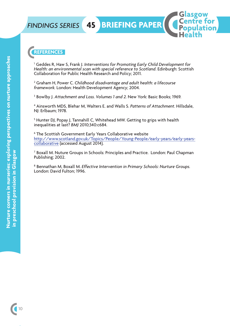# *FINDINGS SERIES* **45 BRIEFING PAPER**

### **REFERENCES**

<sup>1</sup> Geddes R, Haw S, Frank J. *Interventions for Promoting Early Child Development for Health: an environmental scan with special reference to Scotland*. Edinburgh: Scottish Collaboration for Public Health Research and Policy; 2011.

**Slasgow<br>| Centre for<br>| Population** 

lation

<sup>2</sup> Graham H, Power C. *Childhood disadvantage and adult health: a lifecourse framework.* London: Health Development Agency; 2004.

<sup>3</sup> Bowlby J. *Attachment and Loss. Volumes 1 and 2.* New York: Basic Books; 1969.

<sup>4</sup> Ainsworth MDS, Blehar M, Walters E. and Walls S. *Patterns of Attachment*. Hillsdale, NJ: Erlbaum; 1978.

<sup>5</sup> Hunter DJ, Popay J, Tannahill C, Whitehead MW. Getting to grips with health inequalities at last? *BMJ* 2010;340:c684.

<sup>6</sup> The Scottish Government Early Years Collaborative website http://www.scotland.gov.uk/Topics/People/Young-People/early-years/early-years- collaborative (accessed August 2014).

<sup>7</sup> Boxall M. Nuture Groups in Schools: Principles and Practice. London: Paul Chapman Publishing; 2002.

<sup>8</sup> Bennathan M, Boxall M. *Effective Intervention in Primary Schools: Nurture Groups.* London: David Fulton; 1996.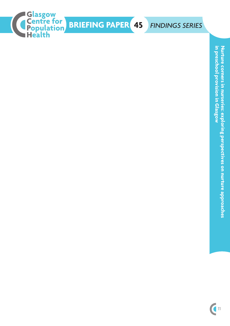

 $\bigl($ ll